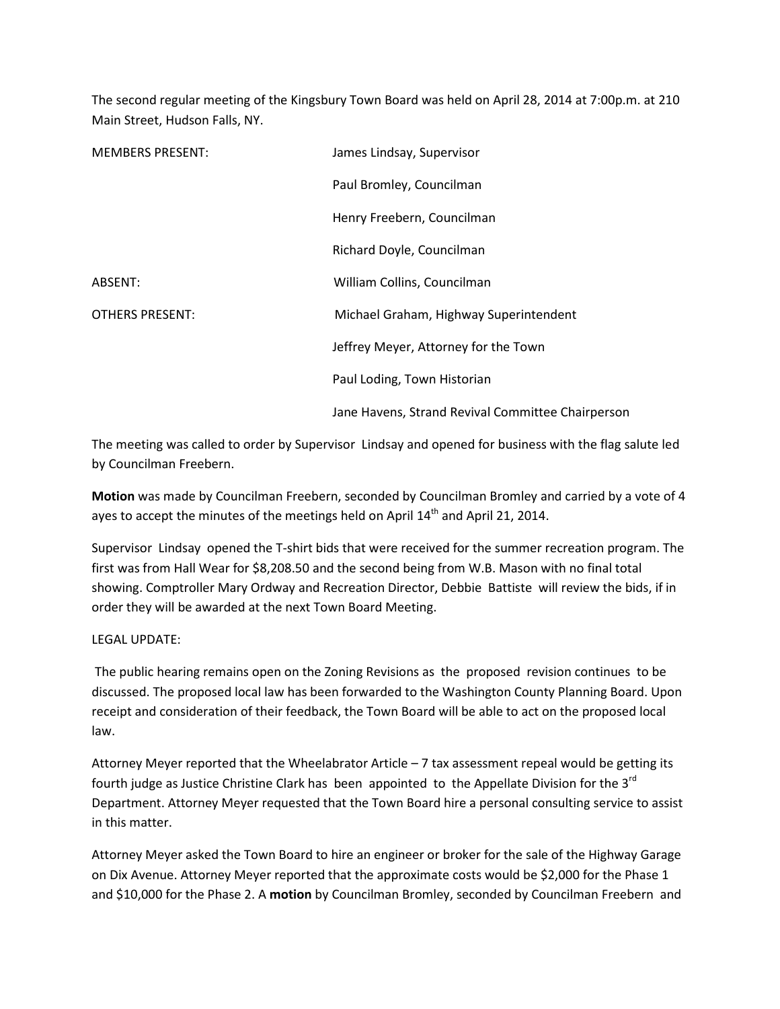The second regular meeting of the Kingsbury Town Board was held on April 28, 2014 at 7:00p.m. at 210 Main Street, Hudson Falls, NY.

| <b>MEMBERS PRESENT:</b> | James Lindsay, Supervisor                         |
|-------------------------|---------------------------------------------------|
|                         | Paul Bromley, Councilman                          |
|                         | Henry Freebern, Councilman                        |
|                         | Richard Doyle, Councilman                         |
| ABSENT:                 | William Collins, Councilman                       |
| <b>OTHERS PRESENT:</b>  | Michael Graham, Highway Superintendent            |
|                         | Jeffrey Meyer, Attorney for the Town              |
|                         | Paul Loding, Town Historian                       |
|                         | Jane Havens, Strand Revival Committee Chairperson |

The meeting was called to order by Supervisor Lindsay and opened for business with the flag salute led by Councilman Freebern.

Motion was made by Councilman Freebern, seconded by Councilman Bromley and carried by a vote of 4 ayes to accept the minutes of the meetings held on April  $14<sup>th</sup>$  and April 21, 2014.

Supervisor Lindsay opened the T-shirt bids that were received for the summer recreation program. The first was from Hall Wear for \$8,208.50 and the second being from W.B. Mason with no final total showing. Comptroller Mary Ordway and Recreation Director, Debbie Battiste will review the bids, if in order they will be awarded at the next Town Board Meeting.

## LEGAL UPDATE:

 The public hearing remains open on the Zoning Revisions as the proposed revision continues to be discussed. The proposed local law has been forwarded to the Washington County Planning Board. Upon receipt and consideration of their feedback, the Town Board will be able to act on the proposed local law.

Attorney Meyer reported that the Wheelabrator Article – 7 tax assessment repeal would be getting its fourth judge as Justice Christine Clark has been appointed to the Appellate Division for the  $3^{rd}$ Department. Attorney Meyer requested that the Town Board hire a personal consulting service to assist in this matter.

Attorney Meyer asked the Town Board to hire an engineer or broker for the sale of the Highway Garage on Dix Avenue. Attorney Meyer reported that the approximate costs would be \$2,000 for the Phase 1 and \$10,000 for the Phase 2. A motion by Councilman Bromley, seconded by Councilman Freebern and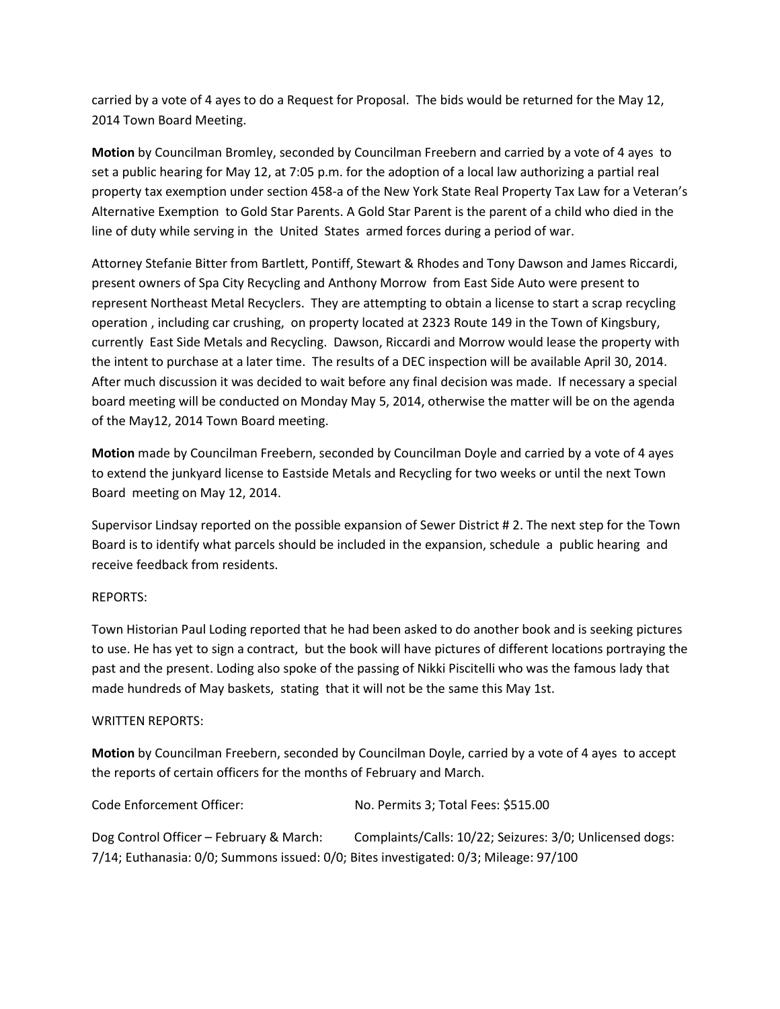carried by a vote of 4 ayes to do a Request for Proposal. The bids would be returned for the May 12, 2014 Town Board Meeting.

Motion by Councilman Bromley, seconded by Councilman Freebern and carried by a vote of 4 ayes to set a public hearing for May 12, at 7:05 p.m. for the adoption of a local law authorizing a partial real property tax exemption under section 458-a of the New York State Real Property Tax Law for a Veteran's Alternative Exemption to Gold Star Parents. A Gold Star Parent is the parent of a child who died in the line of duty while serving in the United States armed forces during a period of war.

Attorney Stefanie Bitter from Bartlett, Pontiff, Stewart & Rhodes and Tony Dawson and James Riccardi, present owners of Spa City Recycling and Anthony Morrow from East Side Auto were present to represent Northeast Metal Recyclers. They are attempting to obtain a license to start a scrap recycling operation , including car crushing, on property located at 2323 Route 149 in the Town of Kingsbury, currently East Side Metals and Recycling. Dawson, Riccardi and Morrow would lease the property with the intent to purchase at a later time. The results of a DEC inspection will be available April 30, 2014. After much discussion it was decided to wait before any final decision was made. If necessary a special board meeting will be conducted on Monday May 5, 2014, otherwise the matter will be on the agenda of the May12, 2014 Town Board meeting.

Motion made by Councilman Freebern, seconded by Councilman Doyle and carried by a vote of 4 ayes to extend the junkyard license to Eastside Metals and Recycling for two weeks or until the next Town Board meeting on May 12, 2014.

Supervisor Lindsay reported on the possible expansion of Sewer District # 2. The next step for the Town Board is to identify what parcels should be included in the expansion, schedule a public hearing and receive feedback from residents.

## REPORTS:

Town Historian Paul Loding reported that he had been asked to do another book and is seeking pictures to use. He has yet to sign a contract, but the book will have pictures of different locations portraying the past and the present. Loding also spoke of the passing of Nikki Piscitelli who was the famous lady that made hundreds of May baskets, stating that it will not be the same this May 1st.

## WRITTEN REPORTS:

Motion by Councilman Freebern, seconded by Councilman Doyle, carried by a vote of 4 ayes to accept the reports of certain officers for the months of February and March.

| Code Enforcement Officer:                                                            | No. Permits 3; Total Fees: \$515.00                      |
|--------------------------------------------------------------------------------------|----------------------------------------------------------|
| Dog Control Officer – February & March:                                              | Complaints/Calls: 10/22; Seizures: 3/0; Unlicensed dogs: |
| 7/14; Euthanasia: 0/0; Summons issued: 0/0; Bites investigated: 0/3; Mileage: 97/100 |                                                          |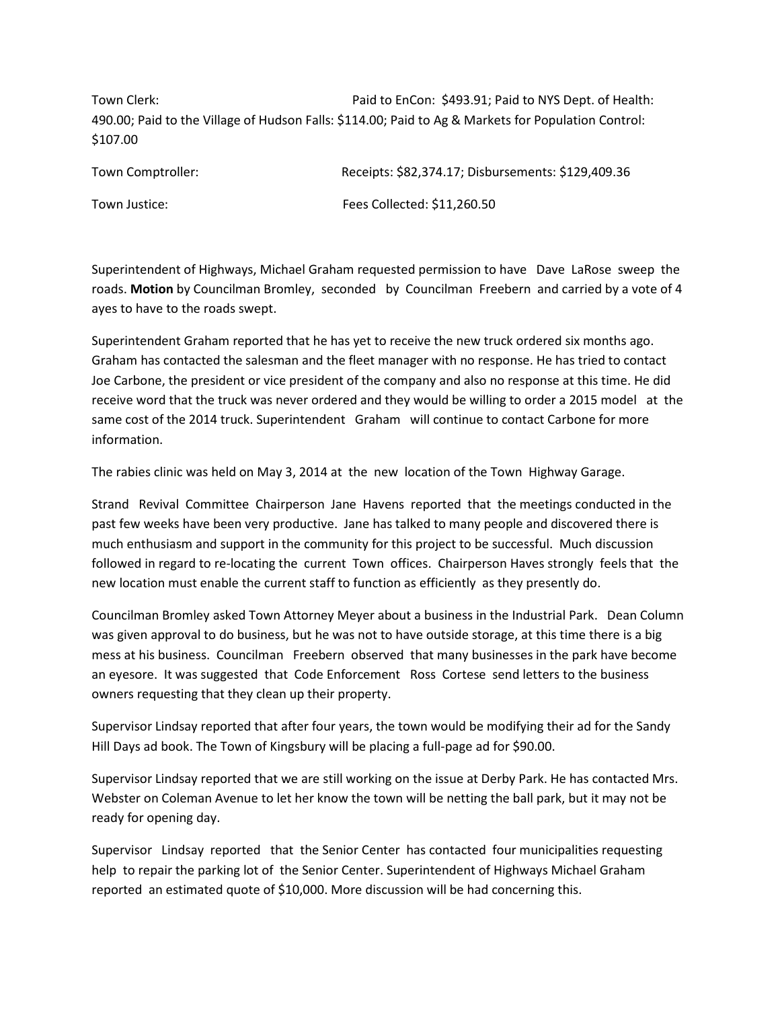Town Clerk: The Paid to EnCon: \$493.91; Paid to NYS Dept. of Health: 490.00; Paid to the Village of Hudson Falls: \$114.00; Paid to Ag & Markets for Population Control: \$107.00

| Town Comptroller: | Receipts: \$82,374.17; Disbursements: \$129,409.36 |
|-------------------|----------------------------------------------------|
| Town Justice:     | Fees Collected: \$11,260.50                        |

Superintendent of Highways, Michael Graham requested permission to have Dave LaRose sweep the roads. Motion by Councilman Bromley, seconded by Councilman Freebern and carried by a vote of 4 ayes to have to the roads swept.

Superintendent Graham reported that he has yet to receive the new truck ordered six months ago. Graham has contacted the salesman and the fleet manager with no response. He has tried to contact Joe Carbone, the president or vice president of the company and also no response at this time. He did receive word that the truck was never ordered and they would be willing to order a 2015 model at the same cost of the 2014 truck. Superintendent Graham will continue to contact Carbone for more information.

The rabies clinic was held on May 3, 2014 at the new location of the Town Highway Garage.

Strand Revival Committee Chairperson Jane Havens reported that the meetings conducted in the past few weeks have been very productive. Jane has talked to many people and discovered there is much enthusiasm and support in the community for this project to be successful. Much discussion followed in regard to re-locating the current Town offices. Chairperson Haves strongly feels that the new location must enable the current staff to function as efficiently as they presently do.

Councilman Bromley asked Town Attorney Meyer about a business in the Industrial Park. Dean Column was given approval to do business, but he was not to have outside storage, at this time there is a big mess at his business. Councilman Freebern observed that many businesses in the park have become an eyesore. It was suggested that Code Enforcement Ross Cortese send letters to the business owners requesting that they clean up their property.

Supervisor Lindsay reported that after four years, the town would be modifying their ad for the Sandy Hill Days ad book. The Town of Kingsbury will be placing a full-page ad for \$90.00.

Supervisor Lindsay reported that we are still working on the issue at Derby Park. He has contacted Mrs. Webster on Coleman Avenue to let her know the town will be netting the ball park, but it may not be ready for opening day.

Supervisor Lindsay reported that the Senior Center has contacted four municipalities requesting help to repair the parking lot of the Senior Center. Superintendent of Highways Michael Graham reported an estimated quote of \$10,000. More discussion will be had concerning this.